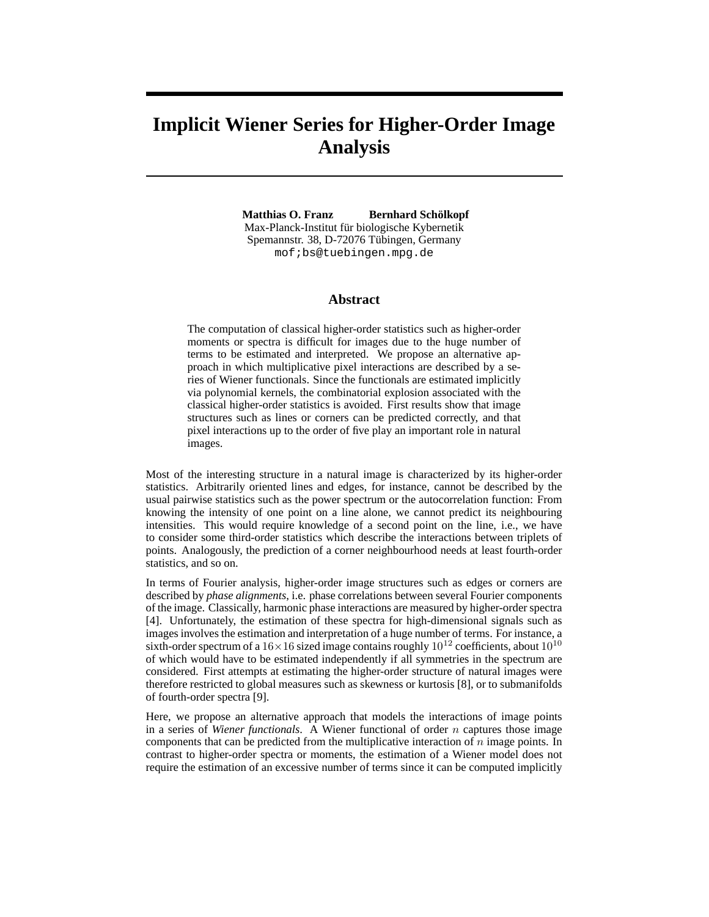# **Implicit Wiener Series for Higher-Order Image Analysis**

**Matthias O. Franz Bernhard Schölkopf** Max-Planck-Institut für biologische Kybernetik Spemannstr. 38, D-72076 Tübingen, Germany mof;bs@tuebingen.mpg.de

#### **Abstract**

The computation of classical higher-order statistics such as higher-order moments or spectra is difficult for images due to the huge number of terms to be estimated and interpreted. We propose an alternative approach in which multiplicative pixel interactions are described by a series of Wiener functionals. Since the functionals are estimated implicitly via polynomial kernels, the combinatorial explosion associated with the classical higher-order statistics is avoided. First results show that image structures such as lines or corners can be predicted correctly, and that pixel interactions up to the order of five play an important role in natural images.

Most of the interesting structure in a natural image is characterized by its higher-order statistics. Arbitrarily oriented lines and edges, for instance, cannot be described by the usual pairwise statistics such as the power spectrum or the autocorrelation function: From knowing the intensity of one point on a line alone, we cannot predict its neighbouring intensities. This would require knowledge of a second point on the line, i.e., we have to consider some third-order statistics which describe the interactions between triplets of points. Analogously, the prediction of a corner neighbourhood needs at least fourth-order statistics, and so on.

In terms of Fourier analysis, higher-order image structures such as edges or corners are described by *phase alignments*, i.e. phase correlations between several Fourier components of the image. Classically, harmonic phase interactions are measured by higher-order spectra [4]. Unfortunately, the estimation of these spectra for high-dimensional signals such as images involves the estimation and interpretation of a huge number of terms. For instance, a sixth-order spectrum of a  $16\times16$  sized image contains roughly  $10^{12}$  coefficients, about  $10^{10}$ of which would have to be estimated independently if all symmetries in the spectrum are considered. First attempts at estimating the higher-order structure of natural images were therefore restricted to global measures such as skewness or kurtosis [8], or to submanifolds of fourth-order spectra [9].

Here, we propose an alternative approach that models the interactions of image points in a series of *Wiener functionals*. A Wiener functional of order n captures those image components that can be predicted from the multiplicative interaction of  $n$  image points. In contrast to higher-order spectra or moments, the estimation of a Wiener model does not require the estimation of an excessive number of terms since it can be computed implicitly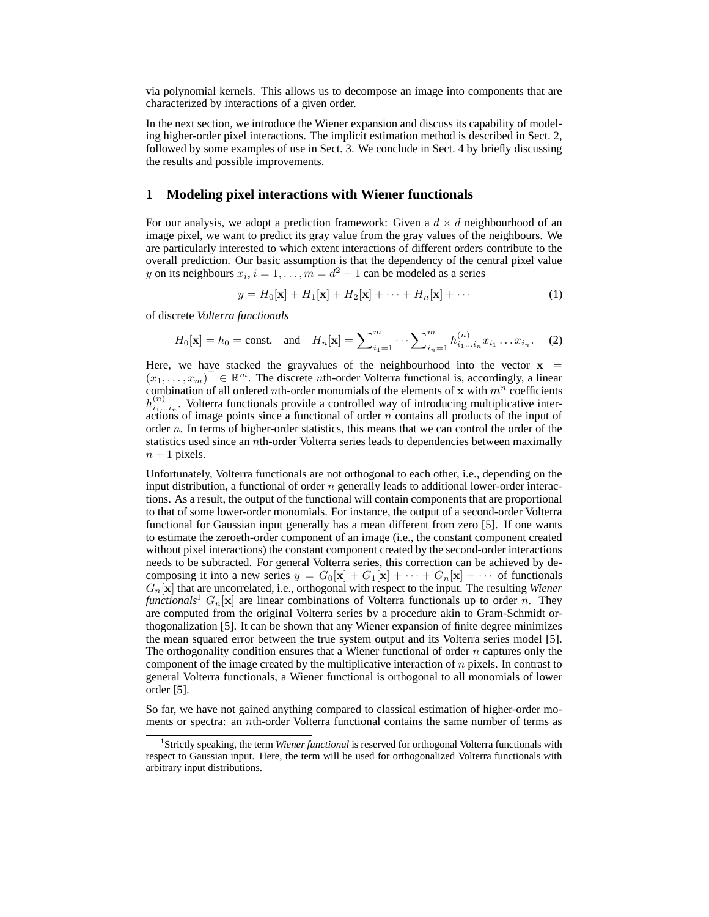via polynomial kernels. This allows us to decompose an image into components that are characterized by interactions of a given order.

In the next section, we introduce the Wiener expansion and discuss its capability of modeling higher-order pixel interactions. The implicit estimation method is described in Sect. 2, followed by some examples of use in Sect. 3. We conclude in Sect. 4 by briefly discussing the results and possible improvements.

#### **1 Modeling pixel interactions with Wiener functionals**

For our analysis, we adopt a prediction framework: Given a  $d \times d$  neighbourhood of an image pixel, we want to predict its gray value from the gray values of the neighbours. We are particularly interested to which extent interactions of different orders contribute to the overall prediction. Our basic assumption is that the dependency of the central pixel value y on its neighbours  $x_i$ ,  $i = 1, ..., m = d^2 - 1$  can be modeled as a series

$$
y = H_0[\mathbf{x}] + H_1[\mathbf{x}] + H_2[\mathbf{x}] + \dots + H_n[\mathbf{x}] + \dots
$$
 (1)

of discrete *Volterra functionals*

$$
H_0[\mathbf{x}] = h_0 = \text{const.} \quad \text{and} \quad H_n[\mathbf{x}] = \sum_{i_1=1}^m \cdots \sum_{i_n=1}^m h_{i_1 \dots i_n}^{(n)} x_{i_1} \dots x_{i_n}. \tag{2}
$$

Here, we have stacked the grayvalues of the neighbourhood into the vector  $x =$  $(x_1, \ldots, x_m)^\top \in \mathbb{R}^m$ . The discrete *n*th-order Volterra functional is, accordingly, a linear combination of all ordered nth-order monomials of the elements of x with  $m<sup>n</sup>$  coefficients  $h_{i_1...i_n}^{(n)}$ . Volterra functionals provide a controlled way of introducing multiplicative interactions of image points since a functional of order  $n$  contains all products of the input of order  $n$ . In terms of higher-order statistics, this means that we can control the order of the statistics used since an nth-order Volterra series leads to dependencies between maximally  $n + 1$  pixels.

Unfortunately, Volterra functionals are not orthogonal to each other, i.e., depending on the input distribution, a functional of order  $n$  generally leads to additional lower-order interactions. As a result, the output of the functional will contain components that are proportional to that of some lower-order monomials. For instance, the output of a second-order Volterra functional for Gaussian input generally has a mean different from zero [5]. If one wants to estimate the zeroeth-order component of an image (i.e., the constant component created without pixel interactions) the constant component created by the second-order interactions needs to be subtracted. For general Volterra series, this correction can be achieved by decomposing it into a new series  $y = G_0[\mathbf{x}] + G_1[\mathbf{x}] + \cdots + G_n[\mathbf{x}] + \cdots$  of functionals  $G_n[x]$  that are uncorrelated, i.e., orthogonal with respect to the input. The resulting *Wiener functionals*<sup>1</sup>  $G_n[\mathbf{x}]$  are linear combinations of Volterra functionals up to order n. They are computed from the original Volterra series by a procedure akin to Gram-Schmidt orthogonalization [5]. It can be shown that any Wiener expansion of finite degree minimizes the mean squared error between the true system output and its Volterra series model [5]. The orthogonality condition ensures that a Wiener functional of order  $n$  captures only the component of the image created by the multiplicative interaction of  $n$  pixels. In contrast to general Volterra functionals, a Wiener functional is orthogonal to all monomials of lower order [5].

So far, we have not gained anything compared to classical estimation of higher-order moments or spectra: an *n*th-order Volterra functional contains the same number of terms as

<sup>&</sup>lt;sup>1</sup> Strictly speaking, the term *Wiener functional* is reserved for orthogonal Volterra functionals with respect to Gaussian input. Here, the term will be used for orthogonalized Volterra functionals with arbitrary input distributions.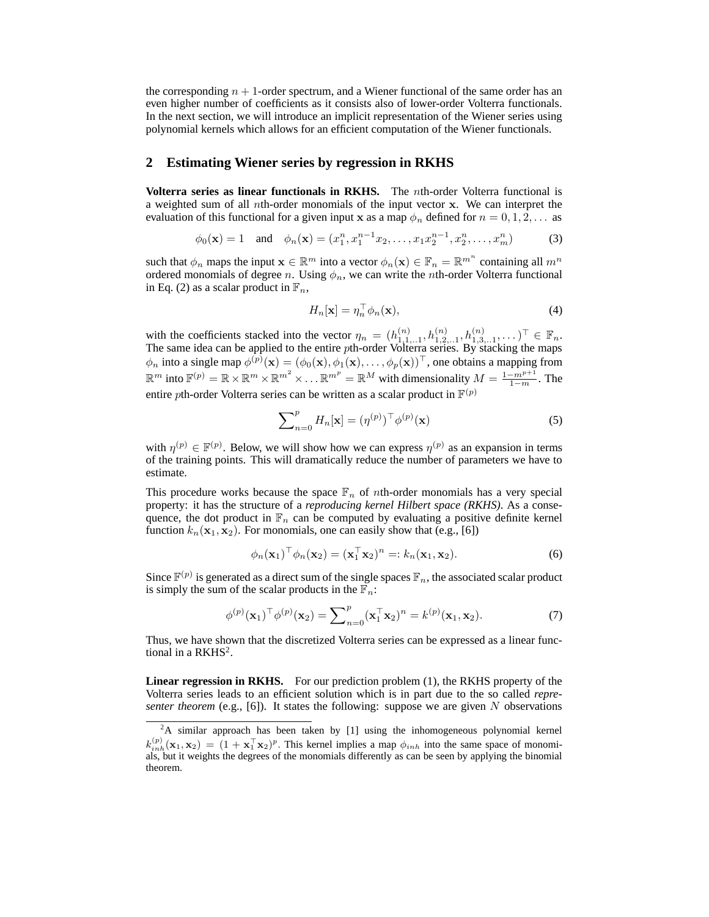the corresponding  $n + 1$ -order spectrum, and a Wiener functional of the same order has an even higher number of coefficients as it consists also of lower-order Volterra functionals. In the next section, we will introduce an implicit representation of the Wiener series using polynomial kernels which allows for an efficient computation of the Wiener functionals.

#### **2 Estimating Wiener series by regression in RKHS**

**Volterra series as linear functionals in RKHS.** The nth-order Volterra functional is a weighted sum of all nth-order monomials of the input vector x. We can interpret the evaluation of this functional for a given input x as a map  $\phi_n$  defined for  $n = 0, 1, 2, \ldots$  as

$$
\phi_0(\mathbf{x}) = 1
$$
 and  $\phi_n(\mathbf{x}) = (x_1^n, x_1^{n-1}x_2, \dots, x_1x_2^{n-1}, x_2^n, \dots, x_m^n)$  (3)

such that  $\phi_n$  maps the input  $\mathbf{x} \in \mathbb{R}^m$  into a vector  $\phi_n(\mathbf{x}) \in \mathbb{F}_n = \mathbb{R}^{m^n}$  containing all  $m^n$ ordered monomials of degree n. Using  $\phi_n$ , we can write the nth-order Volterra functional in Eq. (2) as a scalar product in  $\mathbb{F}_n$ ,

$$
H_n[\mathbf{x}] = \eta_n^\top \phi_n(\mathbf{x}),\tag{4}
$$

with the coefficients stacked into the vector  $\eta_n = (h_{1,1,1}^{(n)}, h_{1,2,1}^{(n)}, h_{1,3,1}^{(n)}, \dots)^\top \in \mathbb{F}_n$ . The same idea can be applied to the entire pth-order Volterra series. By stacking the maps  $\phi_n$  into a single map  $\phi^{(p)}(\mathbf{x}) = (\phi_0(\mathbf{x}), \phi_1(\mathbf{x}), \dots, \phi_p(\mathbf{x}))^\top$ , one obtains a mapping from  $\mathbb{R}^m$  into  $\mathbb{F}^{(p)} = \mathbb{R} \times \mathbb{R}^m \times \mathbb{R}^{m^2} \times \ldots \mathbb{R}^{m^p} = \mathbb{R}^M$  with dimensionality  $M = \frac{1 - m^{p+1}}{1 - m}$ . The entire pth-order Volterra series can be written as a scalar product in  $\mathbb{F}^{(p)}$ 

$$
\sum_{n=0}^{p} H_n[\mathbf{x}] = (\eta^{(p)})^{\top} \phi^{(p)}(\mathbf{x})
$$
\n(5)

with  $\eta^{(p)} \in \mathbb{F}^{(p)}$ . Below, we will show how we can express  $\eta^{(p)}$  as an expansion in terms of the training points. This will dramatically reduce the number of parameters we have to estimate.

This procedure works because the space  $\mathbb{F}_n$  of *n*th-order monomials has a very special property: it has the structure of a *reproducing kernel Hilbert space (RKHS)*. As a consequence, the dot product in  $\mathbb{F}_n$  can be computed by evaluating a positive definite kernel function  $k_n(\mathbf{x}_1, \mathbf{x}_2)$ . For monomials, one can easily show that (e.g., [6])

$$
\phi_n(\mathbf{x}_1)^\top \phi_n(\mathbf{x}_2) = (\mathbf{x}_1^\top \mathbf{x}_2)^n =: k_n(\mathbf{x}_1, \mathbf{x}_2). \tag{6}
$$

Since  $\mathbb{F}^{(p)}$  is generated as a direct sum of the single spaces  $\mathbb{F}_n$ , the associated scalar product is simply the sum of the scalar products in the  $\mathbb{F}_n$ :

$$
\phi^{(p)}(\mathbf{x}_1)^\top \phi^{(p)}(\mathbf{x}_2) = \sum_{n=0}^p (\mathbf{x}_1^\top \mathbf{x}_2)^n = k^{(p)}(\mathbf{x}_1, \mathbf{x}_2). \tag{7}
$$

Thus, we have shown that the discretized Volterra series can be expressed as a linear functional in a  $\text{R}\text{K}\text{H}\text{S}^2$ .

**Linear regression in RKHS.** For our prediction problem (1), the RKHS property of the Volterra series leads to an efficient solution which is in part due to the so called *representer theorem* (e.g., [6]). It states the following: suppose we are given  $N$  observations

<sup>&</sup>lt;sup>2</sup>A similar approach has been taken by [1] using the inhomogeneous polynomial kernel  $k_{inh}^{(p)}(\mathbf{x}_1, \mathbf{x}_2) = (1 + \mathbf{x}_1^{\top} \mathbf{x}_2)^p$ . This kernel implies a map  $\phi_{inh}$  into the same space of monomials, but it weights the degrees of the monomials differently as can be seen by applying the binomial theorem.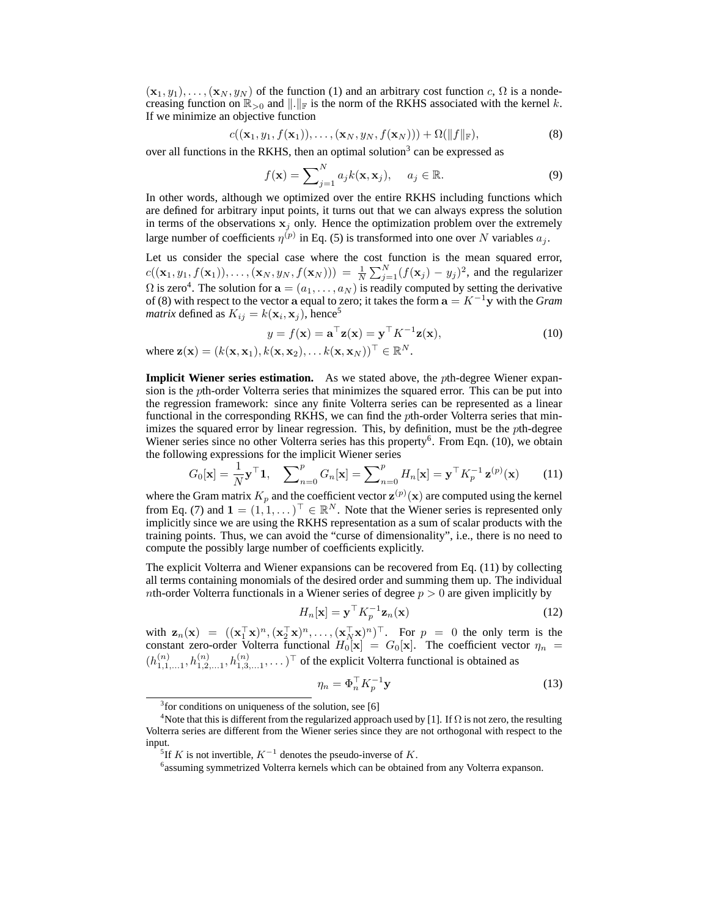$(\mathbf{x}_1, y_1), \ldots, (\mathbf{x}_N, y_N)$  of the function (1) and an arbitrary cost function c,  $\Omega$  is a nondecreasing function on  $\mathbb{R}_{>0}$  and  $\|.\|_{\mathbb{F}}$  is the norm of the RKHS associated with the kernel k. If we minimize an objective function

$$
c((\mathbf{x}_1, y_1, f(\mathbf{x}_1)), \dots, (\mathbf{x}_N, y_N, f(\mathbf{x}_N))) + \Omega(||f||_{\mathbb{F}}),
$$
\n(8)

over all functions in the RKHS, then an optimal solution<sup>3</sup> can be expressed as

$$
f(\mathbf{x}) = \sum_{j=1}^{N} a_j k(\mathbf{x}, \mathbf{x}_j), \quad a_j \in \mathbb{R}.
$$
 (9)

In other words, although we optimized over the entire RKHS including functions which are defined for arbitrary input points, it turns out that we can always express the solution in terms of the observations  $x_j$  only. Hence the optimization problem over the extremely large number of coefficients  $\eta^{(p)}$  in Eq. (5) is transformed into one over N variables  $a_j$ .

Let us consider the special case where the cost function is the mean squared error,  $c((\mathbf{x}_1,y_1,f(\mathbf{x}_1)),\ldots,(\mathbf{x}_N,y_N,f(\mathbf{x}_N))) = \frac{1}{N}\sum_{j=1}^N(f(\mathbf{x}_j)-y_j)^2$ , and the regularizer  $\Omega$  is zero<sup>4</sup>. The solution for  $\mathbf{a} = (a_1, \dots, a_N)$  is readily computed by setting the derivative of (8) with respect to the vector a equal to zero; it takes the form a = K<sup>−</sup><sup>1</sup>y with the *Gram matrix* defined as  $K_{ij} = k(\mathbf{x}_i, \mathbf{x}_j)$ , hence<sup>5</sup>

$$
y = f(\mathbf{x}) = \mathbf{a}^\top \mathbf{z}(\mathbf{x}) = \mathbf{y}^\top K^{-1} \mathbf{z}(\mathbf{x}),\tag{10}
$$

where  $\mathbf{z}(\mathbf{x}) = (k(\mathbf{x}, \mathbf{x}_1), k(\mathbf{x}, \mathbf{x}_2), \dots k(\mathbf{x}, \mathbf{x}_N))^{\top} \in \mathbb{R}^N$ .

**Implicit Wiener series estimation.** As we stated above, the *pth*-degree Wiener expansion is the pth-order Volterra series that minimizes the squared error. This can be put into the regression framework: since any finite Volterra series can be represented as a linear functional in the corresponding RKHS, we can find the pth-order Volterra series that minimizes the squared error by linear regression. This, by definition, must be the pth-degree Wiener series since no other Volterra series has this property<sup>6</sup>. From Eqn. (10), we obtain the following expressions for the implicit Wiener series

$$
G_0[\mathbf{x}] = \frac{1}{N} \mathbf{y}^\top \mathbf{1}, \quad \sum_{n=0}^p G_n[\mathbf{x}] = \sum_{n=0}^p H_n[\mathbf{x}] = \mathbf{y}^\top K_p^{-1} \mathbf{z}^{(p)}(\mathbf{x}) \tag{11}
$$

where the Gram matrix  $K_p$  and the coefficient vector  $\mathbf{z}^{(p)}(\mathbf{x})$  are computed using the kernel from Eq. (7) and  $\mathbf{1} = (1, 1, \dots)^\top \in \mathbb{R}^N$ . Note that the Wiener series is represented only implicitly since we are using the RKHS representation as a sum of scalar products with the training points. Thus, we can avoid the "curse of dimensionality", i.e., there is no need to compute the possibly large number of coefficients explicitly.

The explicit Volterra and Wiener expansions can be recovered from Eq. (11) by collecting all terms containing monomials of the desired order and summing them up. The individual nth-order Volterra functionals in a Wiener series of degree  $p > 0$  are given implicitly by

$$
H_n[\mathbf{x}] = \mathbf{y}^\top K_p^{-1} \mathbf{z}_n(\mathbf{x}) \tag{12}
$$

with  $\mathbf{z}_n(\mathbf{x}) = ((\mathbf{x}_1^\top \mathbf{x})^n, (\mathbf{x}_2^\top \mathbf{x})^n, \dots, (\mathbf{x}_N^\top \mathbf{x})^n)^\top$ . For  $p = 0$  the only term is the constant zero-order Volterra functional  $H_0[\mathbf{x}] = G_0[\mathbf{x}]$ . The coefficient vector  $\eta_n =$  $(h_{1,1,\ldots,1}^{(n)}, h_{1,2,\ldots,1}^{(n)}, h_{1,3,\ldots,1}^{(n)}, \ldots)^\top$  of the explicit Volterra functional is obtained as

$$
\eta_n = \Phi_n^\top K_p^{-1} \mathbf{y} \tag{13}
$$

<sup>&</sup>lt;sup>3</sup> for conditions on uniqueness of the solution, see [6]

<sup>&</sup>lt;sup>4</sup>Note that this is different from the regularized approach used by [1]. If  $\Omega$  is not zero, the resulting Volterra series are different from the Wiener series since they are not orthogonal with respect to the input.

<sup>&</sup>lt;sup>5</sup>If K is not invertible,  $K^{-1}$  denotes the pseudo-inverse of K.

<sup>6</sup> assuming symmetrized Volterra kernels which can be obtained from any Volterra expanson.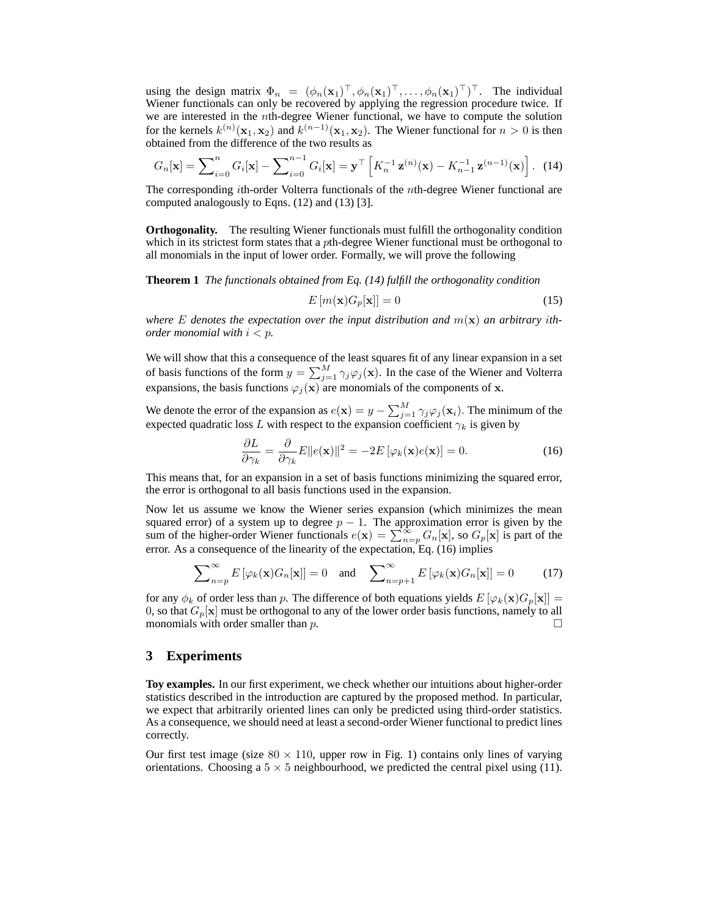using the design matrix  $\Phi_n = (\phi_n(\mathbf{x}_1)^{\top}, \phi_n(\mathbf{x}_1)^{\top}, \dots, \phi_n(\mathbf{x}_1)^{\top})^{\top}$ . The individual Wiener functionals can only be recovered by applying the regression procedure twice. If we are interested in the *n*th-degree Wiener functional, we have to compute the solution for the kernels  $k^{(n)}(\mathbf{x}_1, \mathbf{x}_2)$  and  $k^{(n-1)}(\mathbf{x}_1, \mathbf{x}_2)$ . The Wiener functional for  $n > 0$  is then obtained from the difference of the two results as

$$
G_n[\mathbf{x}] = \sum_{i=0}^n G_i[\mathbf{x}] - \sum_{i=0}^{n-1} G_i[\mathbf{x}] = \mathbf{y}^\top \left[ K_n^{-1} \mathbf{z}^{(n)}(\mathbf{x}) - K_{n-1}^{-1} \mathbf{z}^{(n-1)}(\mathbf{x}) \right]. \tag{14}
$$

The corresponding ith-order Volterra functionals of the nth-degree Wiener functional are computed analogously to Eqns. (12) and (13) [3].

**Orthogonality.** The resulting Wiener functionals must fulfill the orthogonality condition which in its strictest form states that a  $p$ th-degree Wiener functional must be orthogonal to all monomials in the input of lower order. Formally, we will prove the following

**Theorem 1** *The functionals obtained from Eq. (14) fulfill the orthogonality condition*

$$
E\left[m(\mathbf{x})G_p[\mathbf{x}]\right] = 0\tag{15}
$$

where E denotes the expectation over the input distribution and  $m(\mathbf{x})$  an arbitrary ith*order monomial with* i < p*.*

We will show that this a consequence of the least squares fit of any linear expansion in a set of basis functions of the form  $y = \sum_{j=1}^{M} \gamma_j \varphi_j(\mathbf{x})$ . In the case of the Wiener and Volterra expansions, the basis functions  $\varphi_j(\mathbf{x})$  are monomials of the components of x.

We denote the error of the expansion as  $e(\mathbf{x}) = y - \sum_{j=1}^{M} \gamma_j \varphi_j(\mathbf{x}_i)$ . The minimum of the expected quadratic loss L with respect to the expansion coefficient  $\gamma_k$  is given by

$$
\frac{\partial L}{\partial \gamma_k} = \frac{\partial}{\partial \gamma_k} E \|e(\mathbf{x})\|^2 = -2E \left[ \varphi_k(\mathbf{x}) e(\mathbf{x}) \right] = 0.
$$
 (16)

This means that, for an expansion in a set of basis functions minimizing the squared error, the error is orthogonal to all basis functions used in the expansion.

Now let us assume we know the Wiener series expansion (which minimizes the mean squared error) of a system up to degree  $p - 1$ . The approximation error is given by the sum of the higher-order Wiener functionals  $e(\mathbf{x}) = \sum_{n=p}^{\infty} G_n[\mathbf{x}]$ , so  $G_p[\mathbf{x}]$  is part of the error. As a consequence of the linearity of the expectation, Eq. (16) implies

$$
\sum_{n=p}^{\infty} E\left[\varphi_k(\mathbf{x}) G_n[\mathbf{x}]\right] = 0 \quad \text{and} \quad \sum_{n=p+1}^{\infty} E\left[\varphi_k(\mathbf{x}) G_n[\mathbf{x}]\right] = 0 \tag{17}
$$

for any  $\phi_k$  of order less than p. The difference of both equations yields  $E[\varphi_k(\mathbf{x})G_p[\mathbf{x}]]=$ 0, so that  $G_p[x]$  must be orthogonal to any of the lower order basis functions, namely to all monomials with order smaller than  $p$ .

### **3 Experiments**

**Toy examples.** In our first experiment, we check whether our intuitions about higher-order statistics described in the introduction are captured by the proposed method. In particular, we expect that arbitrarily oriented lines can only be predicted using third-order statistics. As a consequence, we should need at least a second-order Wiener functional to predict lines correctly.

Our first test image (size  $80 \times 110$ , upper row in Fig. 1) contains only lines of varying orientations. Choosing a  $5 \times 5$  neighbourhood, we predicted the central pixel using (11).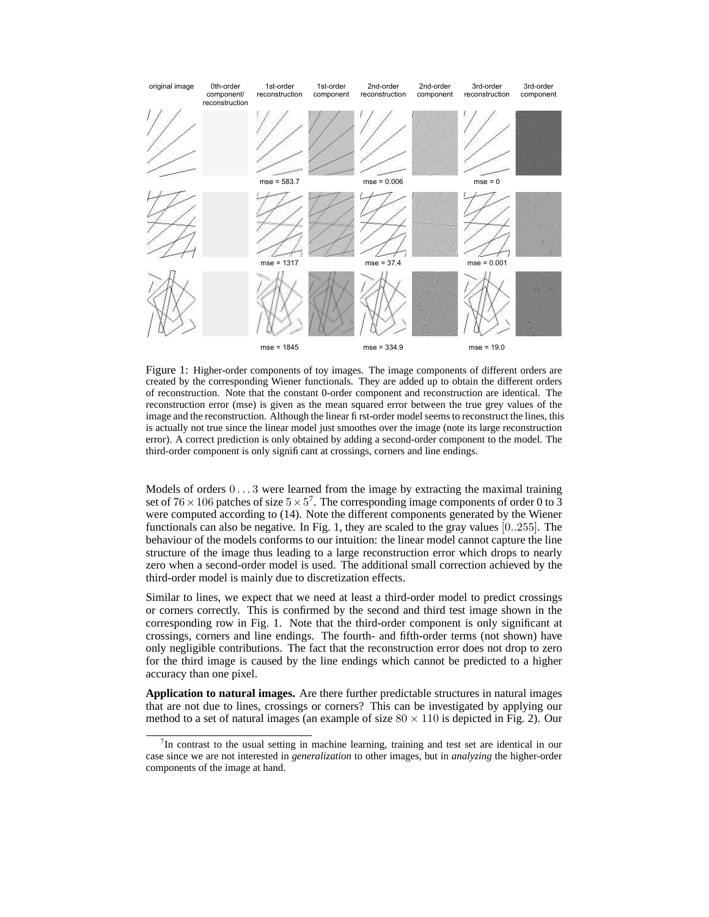

Figure 1: Higher-order components of toy images. The image components of different orders are created by the corresponding Wiener functionals. They are added up to obtain the different orders of reconstruction. Note that the constant 0-order component and reconstruction are identical. The reconstruction error (mse) is given as the mean squared error between the true grey values of the image and the reconstruction. Although the linear first-order model seems to reconstruct the lines, this is actually not true since the linear model just smoothes over the image (note its large reconstruction error). A correct prediction is only obtained by adding a second-order component to the model. The third-order component is only significant at crossings, corners and line endings.

Models of orders  $0 \dots 3$  were learned from the image by extracting the maximal training set of  $76 \times 106$  patches of size  $5 \times 5^7$ . The corresponding image components of order 0 to 3 were computed according to (14). Note the different components generated by the Wiener functionals can also be negative. In Fig. 1, they are scaled to the gray values [0..255]. The behaviour of the models conforms to our intuition: the linear model cannot capture the line structure of the image thus leading to a large reconstruction error which drops to nearly zero when a second-order model is used. The additional small correction achieved by the third-order model is mainly due to discretization effects.

Similar to lines, we expect that we need at least a third-order model to predict crossings or corners correctly. This is confirmed by the second and third test image shown in the corresponding row in Fig. 1. Note that the third-order component is only significant at crossings, corners and line endings. The fourth- and fifth-order terms (not shown) have only negligible contributions. The fact that the reconstruction error does not drop to zero for the third image is caused by the line endings which cannot be predicted to a higher accuracy than one pixel.

**Application to natural images.** Are there further predictable structures in natural images that are not due to lines, crossings or corners? This can be investigated by applying our method to a set of natural images (an example of size  $80 \times 110$  is depicted in Fig. 2). Our

 $7$ In contrast to the usual setting in machine learning, training and test set are identical in our case since we are not interested in *generalization* to other images, but in *analyzing* the higher-order components of the image at hand.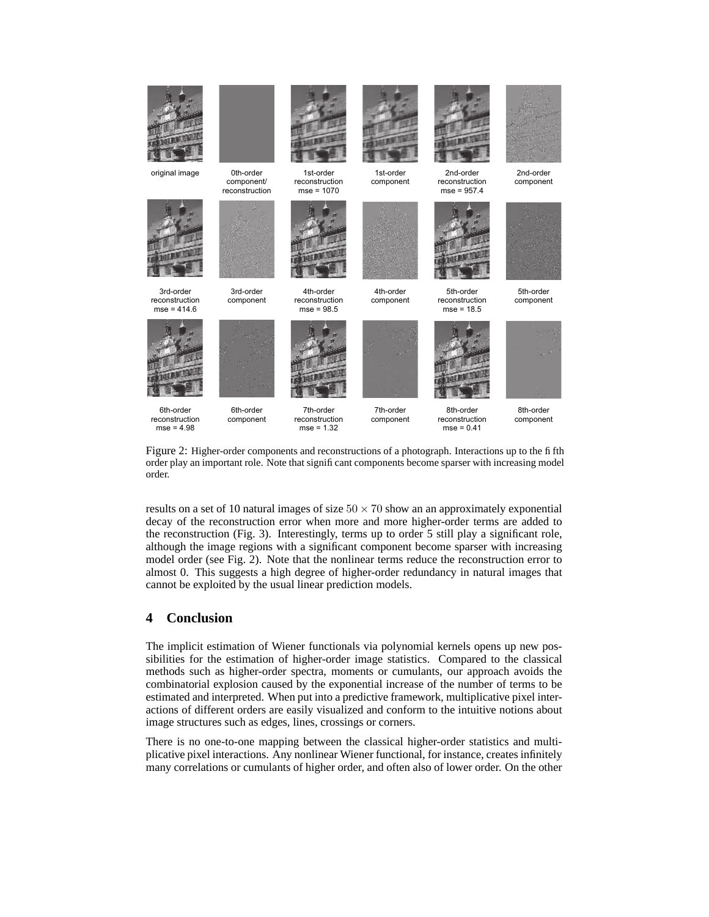

Figure 2: Higher-order components and reconstructions of a photograph. Interactions up to the fifth order play an important role. Note that significant components become sparser with increasing model order.

results on a set of 10 natural images of size  $50 \times 70$  show an an approximately exponential decay of the reconstruction error when more and more higher-order terms are added to the reconstruction (Fig. 3). Interestingly, terms up to order 5 still play a significant role, although the image regions with a significant component become sparser with increasing model order (see Fig. 2). Note that the nonlinear terms reduce the reconstruction error to almost 0. This suggests a high degree of higher-order redundancy in natural images that cannot be exploited by the usual linear prediction models.

## **4 Conclusion**

The implicit estimation of Wiener functionals via polynomial kernels opens up new possibilities for the estimation of higher-order image statistics. Compared to the classical methods such as higher-order spectra, moments or cumulants, our approach avoids the combinatorial explosion caused by the exponential increase of the number of terms to be estimated and interpreted. When put into a predictive framework, multiplicative pixel interactions of different orders are easily visualized and conform to the intuitive notions about image structures such as edges, lines, crossings or corners.

There is no one-to-one mapping between the classical higher-order statistics and multiplicative pixel interactions. Any nonlinear Wiener functional, for instance, creates infinitely many correlations or cumulants of higher order, and often also of lower order. On the other